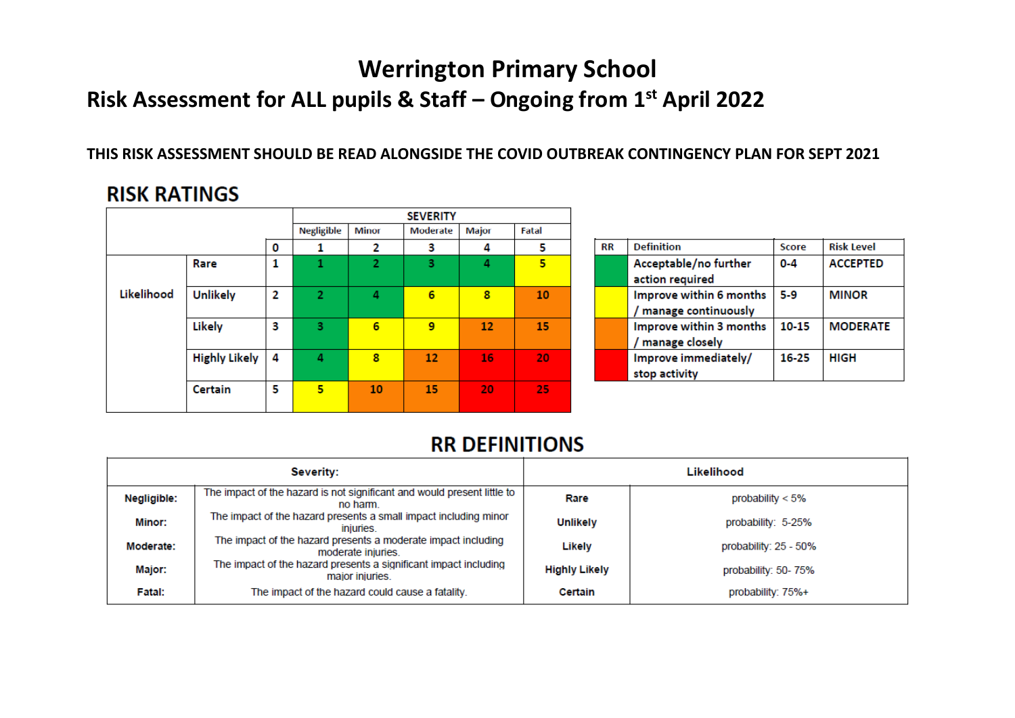# **Werrington Primary School**

## **Risk Assessment for ALL pupils & Staff – Ongoing from 1 st April 2022**

#### **THIS RISK ASSESSMENT SHOULD BE READ ALONGSIDE THE COVID OUTBREAK CONTINGENCY PLAN FOR SEPT 2021**

### **RISK RATINGS**

|            |                      |   |                   |                | <b>SEVERITY</b> |              |       |
|------------|----------------------|---|-------------------|----------------|-----------------|--------------|-------|
|            |                      |   | <b>Negligible</b> | <b>Minor</b>   | Moderate        | <b>Major</b> | Fatal |
|            |                      | 0 | 1                 | 2              | з               | 4            | 5     |
|            | Rare                 | 1 | 1                 | $\overline{2}$ | 3               | 4            | 5     |
| Likelihood | <b>Unlikely</b>      | 2 | $\overline{2}$    | 4              | 6               | 8            | 10    |
|            | Likely               | з | 3                 | 6              | 9               | 12           | 15    |
|            | <b>Highly Likely</b> | 4 | 4                 | 8              | 12              | 16           | 20    |
|            | <b>Certain</b>       | 5 | 5                 | 10             | 15              | 20           | 25    |

| <b>RR</b> | <b>Definition</b>       | Score   | <b>Risk Level</b> |  |  |
|-----------|-------------------------|---------|-------------------|--|--|
|           | Acceptable/no further   | $0 - 4$ | <b>ACCEPTED</b>   |  |  |
|           | action required         |         |                   |  |  |
|           | Improve within 6 months | $5-9$   | <b>MINOR</b>      |  |  |
|           | / manage continuously   |         |                   |  |  |
|           | Improve within 3 months | 10-15   | <b>MODERATE</b>   |  |  |
|           | / manage closely        |         |                   |  |  |
|           | Improve immediately/    | 16-25   | HIGH              |  |  |
|           | stop activity           |         |                   |  |  |

### **RR DEFINITIONS**

|             | Severity:                                                                           | Likelihood           |                       |  |  |  |  |
|-------------|-------------------------------------------------------------------------------------|----------------------|-----------------------|--|--|--|--|
| Negligible: | The impact of the hazard is not significant and would present little to<br>no harm. | Rare                 | probability $< 5\%$   |  |  |  |  |
| Minor:      | The impact of the hazard presents a small impact including minor<br>injuries.       | <b>Unlikely</b>      | probability: 5-25%    |  |  |  |  |
| Moderate:   | The impact of the hazard presents a moderate impact including<br>moderate injuries. | Likely               | probability: 25 - 50% |  |  |  |  |
| Major:      | The impact of the hazard presents a significant impact including<br>major injuries. | <b>Highly Likely</b> | probability: 50-75%   |  |  |  |  |
| Fatal:      | The impact of the hazard could cause a fatality.                                    | Certain              | probability: 75%+     |  |  |  |  |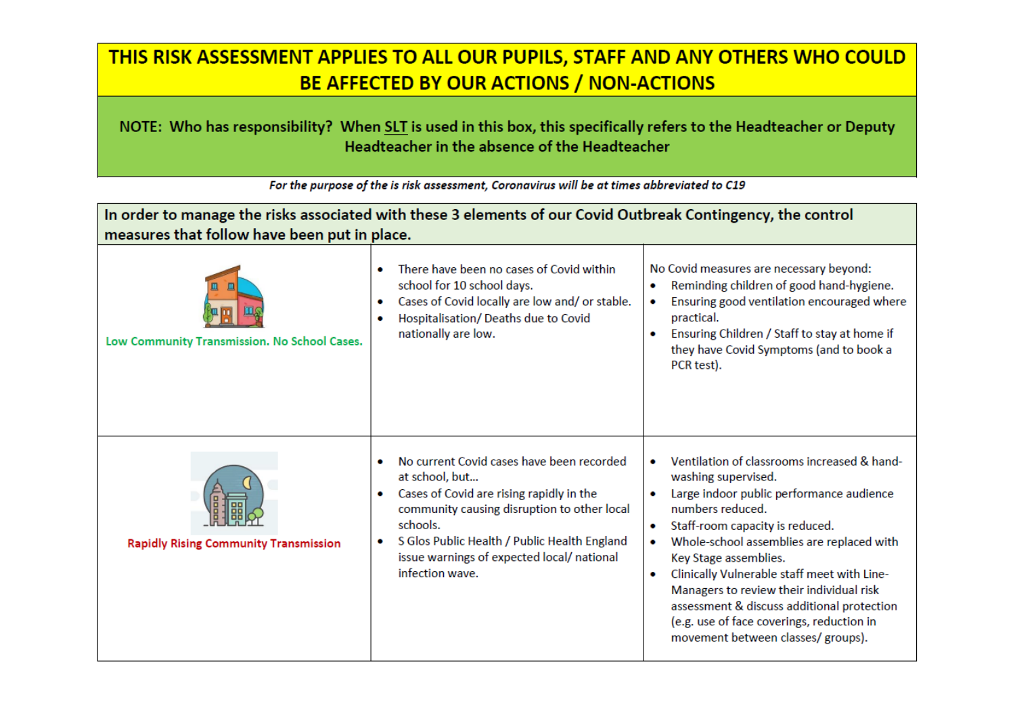## THIS RISK ASSESSMENT APPLIES TO ALL OUR PUPILS, STAFF AND ANY OTHERS WHO COULD BE AFFECTED BY OUR ACTIONS / NON-ACTIONS

#### NOTE: Who has responsibility? When SLT is used in this box, this specifically refers to the Headteacher or Deputy Headteacher in the absence of the Headteacher

| In order to manage the risks associated with these 3 elements of our Covid Outbreak Contingency, the control<br>measures that follow have been put in place. |                                                                                                                                                                                                                                                                                                   |                                                                                                                                                                                                                                                                                                                                                                                                                                                                                   |  |  |  |  |  |  |  |
|--------------------------------------------------------------------------------------------------------------------------------------------------------------|---------------------------------------------------------------------------------------------------------------------------------------------------------------------------------------------------------------------------------------------------------------------------------------------------|-----------------------------------------------------------------------------------------------------------------------------------------------------------------------------------------------------------------------------------------------------------------------------------------------------------------------------------------------------------------------------------------------------------------------------------------------------------------------------------|--|--|--|--|--|--|--|
| Low Community Transmission. No School Cases.                                                                                                                 | There have been no cases of Covid within<br>۰<br>school for 10 school days.<br>Cases of Covid locally are low and/ or stable.<br>۰<br>Hospitalisation/ Deaths due to Covid<br>۰<br>nationally are low.                                                                                            | No Covid measures are necessary beyond:<br>Reminding children of good hand-hygiene.<br>۰<br>Ensuring good ventilation encouraged where<br>۰<br>practical.<br>Ensuring Children / Staff to stay at home if<br>they have Covid Symptoms (and to book a<br>PCR test).                                                                                                                                                                                                                |  |  |  |  |  |  |  |
| <b>Rapidly Rising Community Transmission</b>                                                                                                                 | No current Covid cases have been recorded<br>۰<br>at school, but<br>Cases of Covid are rising rapidly in the<br>۰<br>community causing disruption to other local<br>schools.<br>S Glos Public Health / Public Health England<br>۰<br>issue warnings of expected local/national<br>infection wave. | Ventilation of classrooms increased & hand-<br>washing supervised.<br>Large indoor public performance audience<br>numbers reduced.<br>Staff-room capacity is reduced.<br>۰<br>Whole-school assemblies are replaced with<br>Key Stage assemblies.<br>Clinically Vulnerable staff meet with Line-<br>۰<br>Managers to review their individual risk<br>assessment & discuss additional protection<br>(e.g. use of face coverings, reduction in<br>movement between classes/ groups). |  |  |  |  |  |  |  |

For the purpose of the is risk assessment, Coronavirus will be at times abbreviated to C19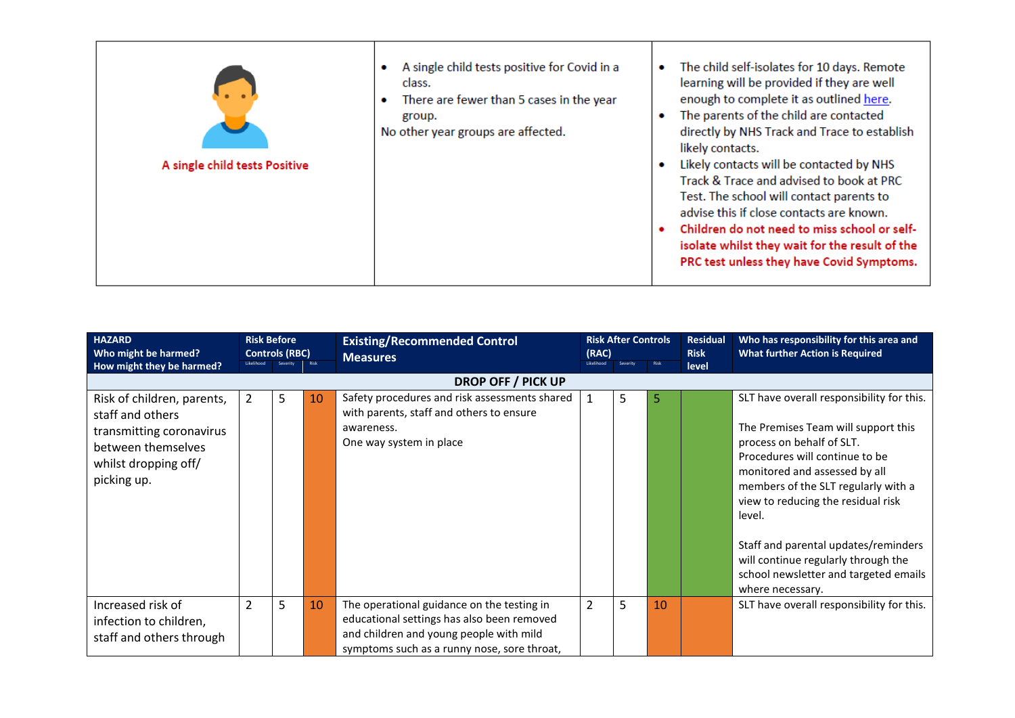| <b>HAZARD</b><br>Who might be harmed?                                                                                                   | <b>Risk Before</b><br><b>Controls (RBC)</b> |   | <b>Risk After Controls</b><br><b>Existing/Recommended Control</b><br>(RAC)<br><b>Measures</b><br>Risk<br>Risk<br><b>ikelihood</b><br>Severity |                                                                                                                                                                                    |                |   |    | <b>Residual</b><br><b>Risk</b> | Who has responsibility for this area and<br><b>What further Action is Required</b>                                                                                                                                                                                                                                                                                                              |
|-----------------------------------------------------------------------------------------------------------------------------------------|---------------------------------------------|---|-----------------------------------------------------------------------------------------------------------------------------------------------|------------------------------------------------------------------------------------------------------------------------------------------------------------------------------------|----------------|---|----|--------------------------------|-------------------------------------------------------------------------------------------------------------------------------------------------------------------------------------------------------------------------------------------------------------------------------------------------------------------------------------------------------------------------------------------------|
| How might they be harmed?                                                                                                               |                                             |   |                                                                                                                                               |                                                                                                                                                                                    |                |   |    | level                          |                                                                                                                                                                                                                                                                                                                                                                                                 |
|                                                                                                                                         |                                             |   |                                                                                                                                               | <b>DROP OFF / PICK UP</b>                                                                                                                                                          |                |   |    |                                |                                                                                                                                                                                                                                                                                                                                                                                                 |
| Risk of children, parents,<br>staff and others<br>transmitting coronavirus<br>between themselves<br>whilst dropping off/<br>picking up. | $\overline{2}$                              | 5 | 10                                                                                                                                            | Safety procedures and risk assessments shared<br>with parents, staff and others to ensure<br>awareness.<br>One way system in place                                                 | 1              | 5 | 5  |                                | SLT have overall responsibility for this.<br>The Premises Team will support this<br>process on behalf of SLT.<br>Procedures will continue to be<br>monitored and assessed by all<br>members of the SLT regularly with a<br>view to reducing the residual risk<br>level.<br>Staff and parental updates/reminders<br>will continue regularly through the<br>school newsletter and targeted emails |
| Increased risk of<br>infection to children,<br>staff and others through                                                                 | $\overline{2}$                              | 5 | 10                                                                                                                                            | The operational guidance on the testing in<br>educational settings has also been removed<br>and children and young people with mild<br>symptoms such as a runny nose, sore throat, | $\overline{2}$ | 5 | 10 |                                | where necessary.<br>SLT have overall responsibility for this.                                                                                                                                                                                                                                                                                                                                   |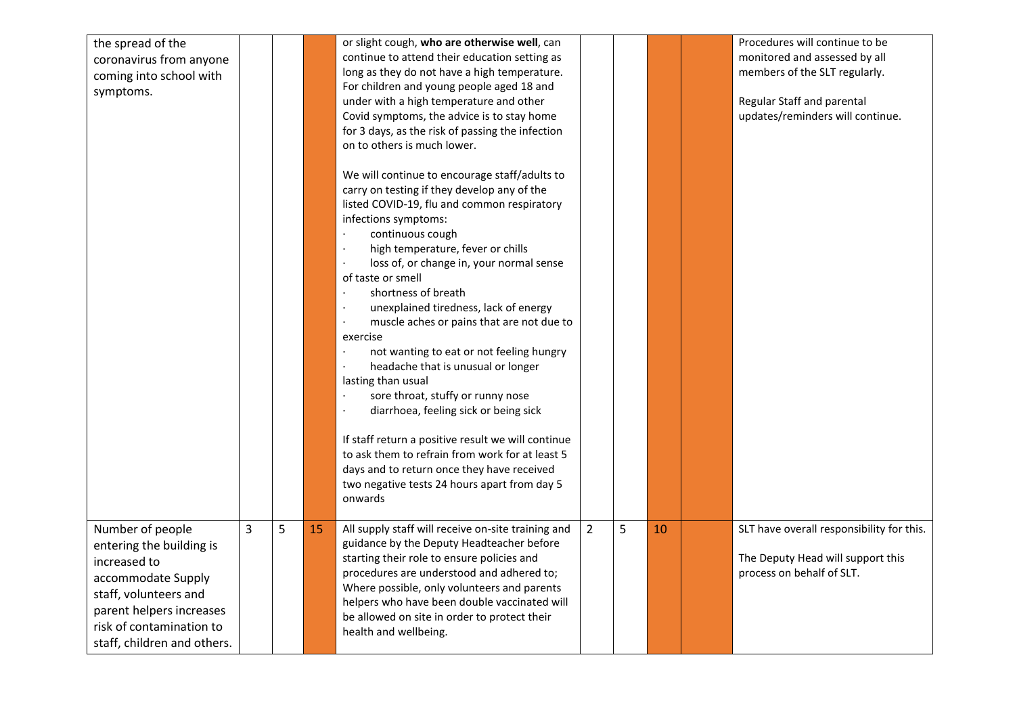| the spread of the<br>coronavirus from anyone<br>coming into school with<br>symptoms.                                                                                                               |   |   |    | or slight cough, who are otherwise well, can<br>continue to attend their education setting as<br>long as they do not have a high temperature.<br>For children and young people aged 18 and<br>under with a high temperature and other                                                                                                                              |                |   |    | Procedures will continue to be<br>monitored and assessed by all<br>members of the SLT regularly.<br>Regular Staff and parental |
|----------------------------------------------------------------------------------------------------------------------------------------------------------------------------------------------------|---|---|----|--------------------------------------------------------------------------------------------------------------------------------------------------------------------------------------------------------------------------------------------------------------------------------------------------------------------------------------------------------------------|----------------|---|----|--------------------------------------------------------------------------------------------------------------------------------|
|                                                                                                                                                                                                    |   |   |    | Covid symptoms, the advice is to stay home<br>for 3 days, as the risk of passing the infection<br>on to others is much lower.<br>We will continue to encourage staff/adults to                                                                                                                                                                                     |                |   |    | updates/reminders will continue.                                                                                               |
|                                                                                                                                                                                                    |   |   |    | carry on testing if they develop any of the<br>listed COVID-19, flu and common respiratory<br>infections symptoms:<br>continuous cough<br>high temperature, fever or chills<br>loss of, or change in, your normal sense<br>of taste or smell                                                                                                                       |                |   |    |                                                                                                                                |
|                                                                                                                                                                                                    |   |   |    | shortness of breath<br>unexplained tiredness, lack of energy<br>muscle aches or pains that are not due to<br>exercise<br>not wanting to eat or not feeling hungry<br>headache that is unusual or longer<br>lasting than usual<br>sore throat, stuffy or runny nose                                                                                                 |                |   |    |                                                                                                                                |
|                                                                                                                                                                                                    |   |   |    | diarrhoea, feeling sick or being sick<br>If staff return a positive result we will continue<br>to ask them to refrain from work for at least 5<br>days and to return once they have received<br>two negative tests 24 hours apart from day 5<br>onwards                                                                                                            |                |   |    |                                                                                                                                |
| Number of people<br>entering the building is<br>increased to<br>accommodate Supply<br>staff, volunteers and<br>parent helpers increases<br>risk of contamination to<br>staff, children and others. | 3 | 5 | 15 | All supply staff will receive on-site training and<br>guidance by the Deputy Headteacher before<br>starting their role to ensure policies and<br>procedures are understood and adhered to;<br>Where possible, only volunteers and parents<br>helpers who have been double vaccinated will<br>be allowed on site in order to protect their<br>health and wellbeing. | $\overline{2}$ | 5 | 10 | SLT have overall responsibility for this.<br>The Deputy Head will support this<br>process on behalf of SLT.                    |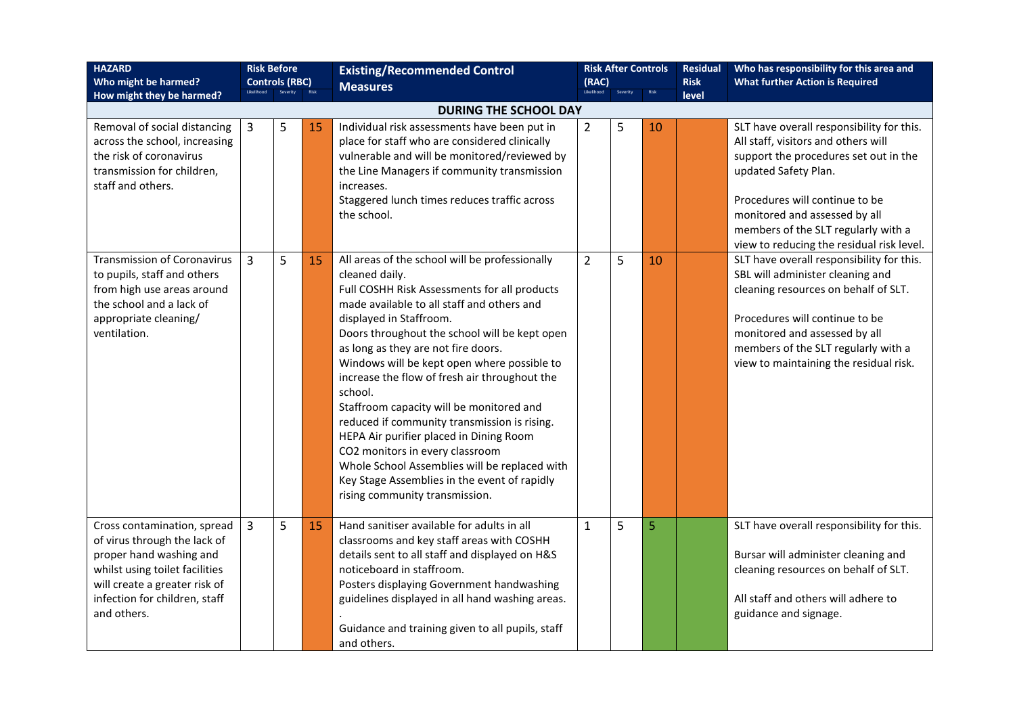| <b>HAZARD</b><br>Who might be harmed?<br>How might they be harmed?                                                                                                                                        | <b>Risk Before</b><br><b>Controls (RBC)</b> |   |    | <b>Existing/Recommended Control</b><br><b>Measures</b>                                                                                                                                                                                                                                                                                                                                                                                                                                                                                                                                                                                                                                                    | Likelihood     | <b>Risk After Controls</b><br>(RAC)<br>Risk<br>Severity |    | <b>Residual</b><br><b>Risk</b><br>level                                                                                                                                                                                                                                                                  |  | Who has responsibility for this area and<br><b>What further Action is Required</b> |
|-----------------------------------------------------------------------------------------------------------------------------------------------------------------------------------------------------------|---------------------------------------------|---|----|-----------------------------------------------------------------------------------------------------------------------------------------------------------------------------------------------------------------------------------------------------------------------------------------------------------------------------------------------------------------------------------------------------------------------------------------------------------------------------------------------------------------------------------------------------------------------------------------------------------------------------------------------------------------------------------------------------------|----------------|---------------------------------------------------------|----|----------------------------------------------------------------------------------------------------------------------------------------------------------------------------------------------------------------------------------------------------------------------------------------------------------|--|------------------------------------------------------------------------------------|
|                                                                                                                                                                                                           |                                             |   |    | <b>DURING THE SCHOOL DAY</b>                                                                                                                                                                                                                                                                                                                                                                                                                                                                                                                                                                                                                                                                              |                |                                                         |    |                                                                                                                                                                                                                                                                                                          |  |                                                                                    |
| Removal of social distancing<br>across the school, increasing<br>the risk of coronavirus<br>transmission for children,<br>staff and others.                                                               | 3                                           | 5 | 15 | Individual risk assessments have been put in<br>place for staff who are considered clinically<br>vulnerable and will be monitored/reviewed by<br>the Line Managers if community transmission<br>increases.<br>Staggered lunch times reduces traffic across<br>the school.                                                                                                                                                                                                                                                                                                                                                                                                                                 | $\overline{2}$ | 5                                                       | 10 | SLT have overall responsibility for this.<br>All staff, visitors and others will<br>support the procedures set out in the<br>updated Safety Plan.<br>Procedures will continue to be<br>monitored and assessed by all<br>members of the SLT regularly with a<br>view to reducing the residual risk level. |  |                                                                                    |
| <b>Transmission of Coronavirus</b><br>to pupils, staff and others<br>from high use areas around<br>the school and a lack of<br>appropriate cleaning/<br>ventilation.                                      | $\overline{3}$                              | 5 | 15 | All areas of the school will be professionally<br>cleaned daily.<br>Full COSHH Risk Assessments for all products<br>made available to all staff and others and<br>displayed in Staffroom.<br>Doors throughout the school will be kept open<br>as long as they are not fire doors.<br>Windows will be kept open where possible to<br>increase the flow of fresh air throughout the<br>school.<br>Staffroom capacity will be monitored and<br>reduced if community transmission is rising.<br>HEPA Air purifier placed in Dining Room<br>CO2 monitors in every classroom<br>Whole School Assemblies will be replaced with<br>Key Stage Assemblies in the event of rapidly<br>rising community transmission. | $\overline{2}$ | 5                                                       | 10 | SLT have overall responsibility for this.<br>SBL will administer cleaning and<br>cleaning resources on behalf of SLT.<br>Procedures will continue to be<br>monitored and assessed by all<br>members of the SLT regularly with a<br>view to maintaining the residual risk.                                |  |                                                                                    |
| Cross contamination, spread<br>of virus through the lack of<br>proper hand washing and<br>whilst using toilet facilities<br>will create a greater risk of<br>infection for children, staff<br>and others. | 3                                           | 5 | 15 | Hand sanitiser available for adults in all<br>classrooms and key staff areas with COSHH<br>details sent to all staff and displayed on H&S<br>noticeboard in staffroom.<br>Posters displaying Government handwashing<br>guidelines displayed in all hand washing areas.<br>Guidance and training given to all pupils, staff<br>and others.                                                                                                                                                                                                                                                                                                                                                                 | $\mathbf{1}$   | 5                                                       | 5  | SLT have overall responsibility for this.<br>Bursar will administer cleaning and<br>cleaning resources on behalf of SLT.<br>All staff and others will adhere to<br>guidance and signage.                                                                                                                 |  |                                                                                    |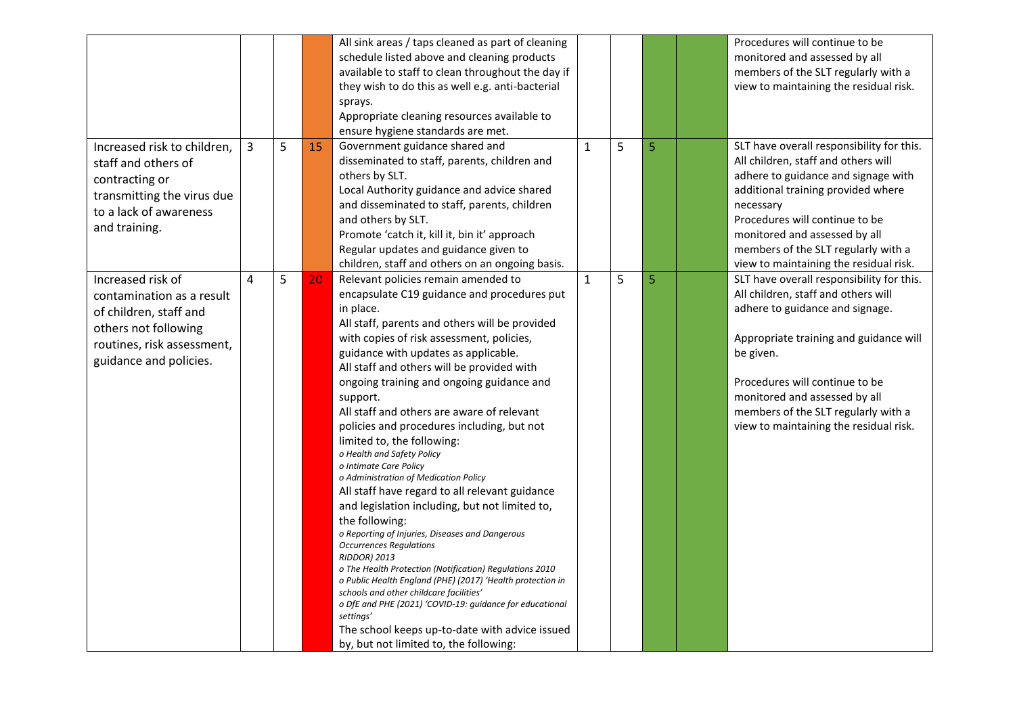|                                                                                                                                                          |   |   |    | All sink areas / taps cleaned as part of cleaning<br>schedule listed above and cleaning products<br>available to staff to clean throughout the day if<br>they wish to do this as well e.g. anti-bacterial<br>sprays.<br>Appropriate cleaning resources available to<br>ensure hygiene standards are met.                                                                                                                                                                                                                                                                                                                                                                                                                                                                                                                                                                                                                                                                                                                                                                                                                                            |              |   |   | Procedures will continue to be<br>monitored and assessed by all<br>members of the SLT regularly with a<br>view to maintaining the residual risk.                                                                                                                                                                               |
|----------------------------------------------------------------------------------------------------------------------------------------------------------|---|---|----|-----------------------------------------------------------------------------------------------------------------------------------------------------------------------------------------------------------------------------------------------------------------------------------------------------------------------------------------------------------------------------------------------------------------------------------------------------------------------------------------------------------------------------------------------------------------------------------------------------------------------------------------------------------------------------------------------------------------------------------------------------------------------------------------------------------------------------------------------------------------------------------------------------------------------------------------------------------------------------------------------------------------------------------------------------------------------------------------------------------------------------------------------------|--------------|---|---|--------------------------------------------------------------------------------------------------------------------------------------------------------------------------------------------------------------------------------------------------------------------------------------------------------------------------------|
| Increased risk to children,<br>staff and others of<br>contracting or<br>transmitting the virus due<br>to a lack of awareness<br>and training.            | 3 | 5 | 15 | Government guidance shared and<br>disseminated to staff, parents, children and<br>others by SLT.<br>Local Authority guidance and advice shared<br>and disseminated to staff, parents, children<br>and others by SLT.<br>Promote 'catch it, kill it, bin it' approach<br>Regular updates and guidance given to<br>children, staff and others on an ongoing basis.                                                                                                                                                                                                                                                                                                                                                                                                                                                                                                                                                                                                                                                                                                                                                                                    | $\mathbf{1}$ | 5 | 5 | SLT have overall responsibility for this.<br>All children, staff and others will<br>adhere to guidance and signage with<br>additional training provided where<br>necessary<br>Procedures will continue to be<br>monitored and assessed by all<br>members of the SLT regularly with a<br>view to maintaining the residual risk. |
| Increased risk of<br>contamination as a result<br>of children, staff and<br>others not following<br>routines, risk assessment,<br>guidance and policies. | 4 | 5 | 20 | Relevant policies remain amended to<br>encapsulate C19 guidance and procedures put<br>in place.<br>All staff, parents and others will be provided<br>with copies of risk assessment, policies,<br>guidance with updates as applicable.<br>All staff and others will be provided with<br>ongoing training and ongoing guidance and<br>support.<br>All staff and others are aware of relevant<br>policies and procedures including, but not<br>limited to, the following:<br>o Health and Safety Policy<br>o Intimate Care Policy<br>o Administration of Medication Policy<br>All staff have regard to all relevant guidance<br>and legislation including, but not limited to,<br>the following:<br>o Reporting of Injuries, Diseases and Dangerous<br><b>Occurrences Regulations</b><br><b>RIDDOR) 2013</b><br>o The Health Protection (Notification) Regulations 2010<br>o Public Health England (PHE) (2017) 'Health protection in<br>schools and other childcare facilities'<br>o DfE and PHE (2021) 'COVID-19: guidance for educational<br>settings'<br>The school keeps up-to-date with advice issued<br>by, but not limited to, the following: | $\mathbf{1}$ | 5 | 5 | SLT have overall responsibility for this.<br>All children, staff and others will<br>adhere to guidance and signage.<br>Appropriate training and guidance will<br>be given.<br>Procedures will continue to be<br>monitored and assessed by all<br>members of the SLT regularly with a<br>view to maintaining the residual risk. |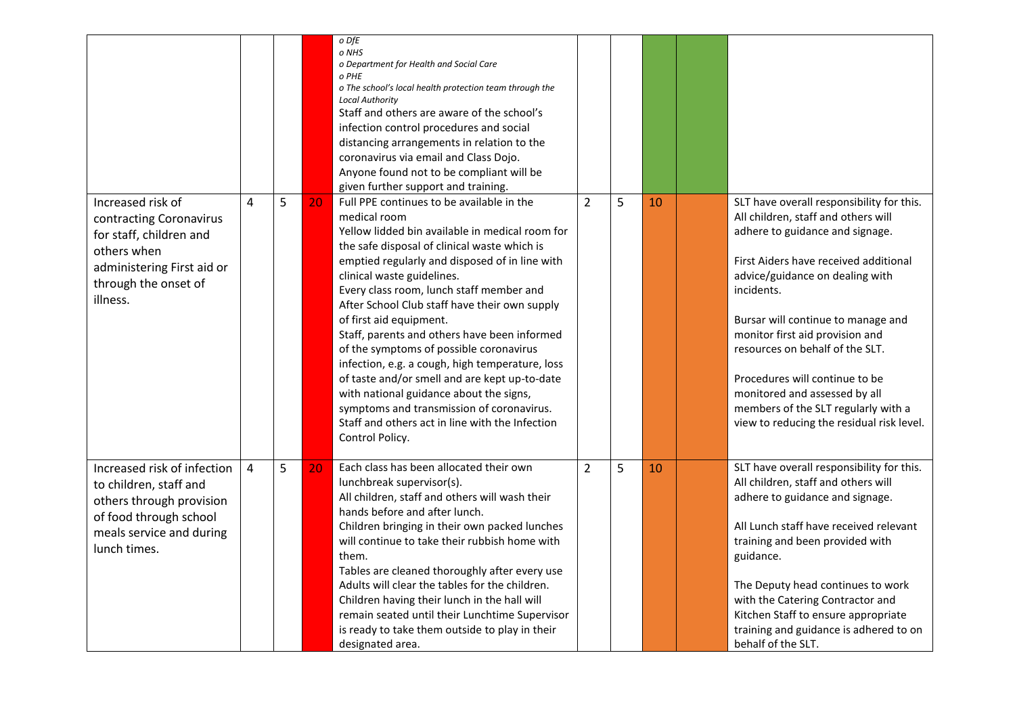|                                                                                                                                                          |                |   |    | o DfE<br>o NHS<br>o Department for Health and Social Care<br>o PHE<br>o The school's local health protection team through the<br><b>Local Authority</b><br>Staff and others are aware of the school's<br>infection control procedures and social<br>distancing arrangements in relation to the<br>coronavirus via email and Class Dojo.<br>Anyone found not to be compliant will be<br>given further support and training.                                                                                                                                                                                                                                                                                                        |                |   |    |                                                                                                                                                                                                                                                                                                                                                                                                                                                                                  |
|----------------------------------------------------------------------------------------------------------------------------------------------------------|----------------|---|----|-----------------------------------------------------------------------------------------------------------------------------------------------------------------------------------------------------------------------------------------------------------------------------------------------------------------------------------------------------------------------------------------------------------------------------------------------------------------------------------------------------------------------------------------------------------------------------------------------------------------------------------------------------------------------------------------------------------------------------------|----------------|---|----|----------------------------------------------------------------------------------------------------------------------------------------------------------------------------------------------------------------------------------------------------------------------------------------------------------------------------------------------------------------------------------------------------------------------------------------------------------------------------------|
| Increased risk of<br>contracting Coronavirus<br>for staff, children and<br>others when<br>administering First aid or<br>through the onset of<br>illness. | 4              | 5 | 20 | Full PPE continues to be available in the<br>medical room<br>Yellow lidded bin available in medical room for<br>the safe disposal of clinical waste which is<br>emptied regularly and disposed of in line with<br>clinical waste guidelines.<br>Every class room, lunch staff member and<br>After School Club staff have their own supply<br>of first aid equipment.<br>Staff, parents and others have been informed<br>of the symptoms of possible coronavirus<br>infection, e.g. a cough, high temperature, loss<br>of taste and/or smell and are kept up-to-date<br>with national guidance about the signs,<br>symptoms and transmission of coronavirus.<br>Staff and others act in line with the Infection<br>Control Policy. | $\overline{2}$ | 5 | 10 | SLT have overall responsibility for this.<br>All children, staff and others will<br>adhere to guidance and signage.<br>First Aiders have received additional<br>advice/guidance on dealing with<br>incidents.<br>Bursar will continue to manage and<br>monitor first aid provision and<br>resources on behalf of the SLT.<br>Procedures will continue to be<br>monitored and assessed by all<br>members of the SLT regularly with a<br>view to reducing the residual risk level. |
| Increased risk of infection<br>to children, staff and<br>others through provision<br>of food through school<br>meals service and during<br>lunch times.  | $\overline{4}$ | 5 | 20 | Each class has been allocated their own<br>lunchbreak supervisor(s).<br>All children, staff and others will wash their<br>hands before and after lunch.<br>Children bringing in their own packed lunches<br>will continue to take their rubbish home with<br>them.<br>Tables are cleaned thoroughly after every use<br>Adults will clear the tables for the children.<br>Children having their lunch in the hall will<br>remain seated until their Lunchtime Supervisor<br>is ready to take them outside to play in their<br>designated area.                                                                                                                                                                                     | $\overline{2}$ | 5 | 10 | SLT have overall responsibility for this.<br>All children, staff and others will<br>adhere to guidance and signage.<br>All Lunch staff have received relevant<br>training and been provided with<br>guidance.<br>The Deputy head continues to work<br>with the Catering Contractor and<br>Kitchen Staff to ensure appropriate<br>training and guidance is adhered to on<br>behalf of the SLT.                                                                                    |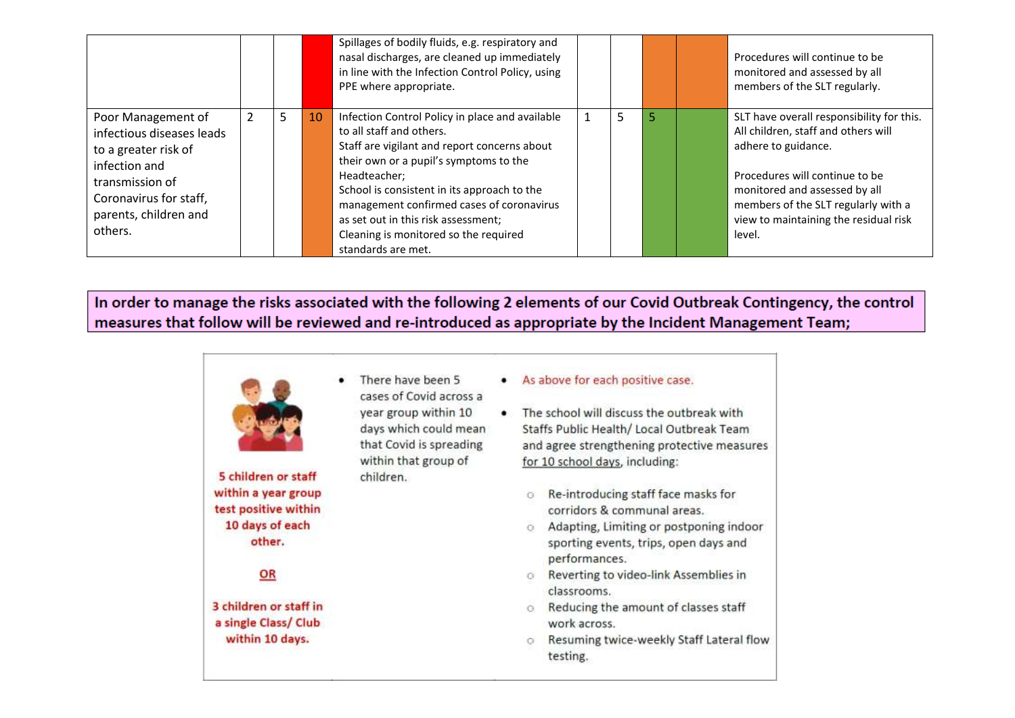|                                                                                                                                                                           |   |   |    | Spillages of bodily fluids, e.g. respiratory and<br>nasal discharges, are cleaned up immediately<br>in line with the Infection Control Policy, using<br>PPE where appropriate.                                                                                                                                                                                                          |    |   |    | Procedures will continue to be<br>monitored and assessed by all<br>members of the SLT regularly.                                                                                                                                                                     |
|---------------------------------------------------------------------------------------------------------------------------------------------------------------------------|---|---|----|-----------------------------------------------------------------------------------------------------------------------------------------------------------------------------------------------------------------------------------------------------------------------------------------------------------------------------------------------------------------------------------------|----|---|----|----------------------------------------------------------------------------------------------------------------------------------------------------------------------------------------------------------------------------------------------------------------------|
| Poor Management of<br>infectious diseases leads<br>to a greater risk of<br>infection and<br>transmission of<br>Coronavirus for staff,<br>parents, children and<br>others. | 2 | 5 | 10 | Infection Control Policy in place and available<br>to all staff and others.<br>Staff are vigilant and report concerns about<br>their own or a pupil's symptoms to the<br>Headteacher;<br>School is consistent in its approach to the<br>management confirmed cases of coronavirus<br>as set out in this risk assessment;<br>Cleaning is monitored so the required<br>standards are met. | L. | 5 | 5. | SLT have overall responsibility for this.<br>All children, staff and others will<br>adhere to guidance.<br>Procedures will continue to be<br>monitored and assessed by all<br>members of the SLT regularly with a<br>view to maintaining the residual risk<br>level. |

In order to manage the risks associated with the following 2 elements of our Covid Outbreak Contingency, the control measures that follow will be reviewed and re-introduced as appropriate by the Incident Management Team;